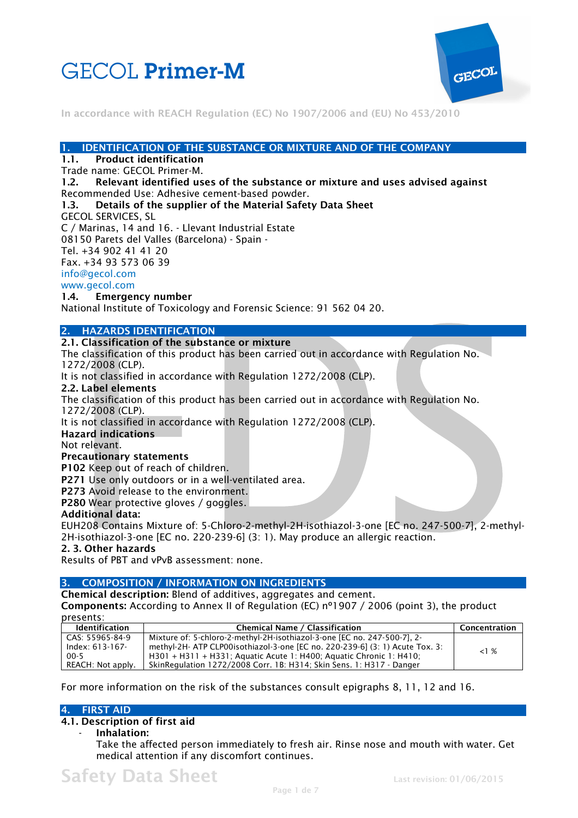



#### **1. IDENTIFICATION OF THE SUBSTANCE OR MIXTURE AND OF THE COMPANY**

# **1.1. Product identification**

Trade name: GECOL Primer-M.

**1.2. Relevant identified uses of the substance or mixture and uses advised against**  Recommended Use: Adhesive cement-based powder.

#### **1.3. Details of the supplier of the Material Safety Data Sheet**

GECOL SERVICES, SL

C / Marinas, 14 and 16. - Llevant Industrial Estate 08150 Parets del Valles (Barcelona) - Spain -

Tel. +34 902 41 41 20

Fax. +34 93 573 06 39

info@gecol.com

# www.gecol.com

**1.4. Emergency number** 

National Institute of Toxicology and Forensic Science: 91 562 04 20.

#### **2. HAZARDS IDENTIFICATION**

### **2.1. Classification of the substance or mixture**

The classification of this product has been carried out in accordance with Regulation No. 1272/2008 (CLP).

It is not classified in accordance with Regulation 1272/2008 (CLP).

#### **2.2. Label elements**

The classification of this product has been carried out in accordance with Regulation No. 1272/2008 (CLP).

It is not classified in accordance with Regulation 1272/2008 (CLP).

# **Hazard indications**

Not relevant.

#### **Precautionary statements**

**P102** Keep out of reach of children.

**P271** Use only outdoors or in a well-ventilated area.

**P273** Avoid release to the environment.

**P280** Wear protective gloves / goggles.

#### **Additional data:**

EUH208 Contains Mixture of: 5-Chloro-2-methyl-2H-isothiazol-3-one [EC no. 247-500-7], 2-methyl-2H-isothiazol-3-one [EC no. 220-239-6] (3: 1). May produce an allergic reaction.

# **2. 3. Other hazards**

Results of PBT and vPvB assessment: none.

## **3. COMPOSITION / INFORMATION ON INGREDIENTS**

**Chemical description:** Blend of additives, aggregates and cement. **Components:** According to Annex II of Regulation (EC) nº1907 / 2006 (point 3), the product presents:

| presents:                 |  |
|---------------------------|--|
| - المحمد الكالمحمد ما اما |  |

| <b>Identification</b> | <b>Chemical Name / Classification</b>                                        | Concentration |
|-----------------------|------------------------------------------------------------------------------|---------------|
| CAS: 55965-84-9       | Mixture of: 5-chloro-2-methyl-2H-isothiazol-3-one [EC no. 247-500-7], 2-     |               |
| $Index: 613-167-$     | methyl-2H- ATP CLP00isothiazol-3-one [EC no. 220-239-6] (3: 1) Acute Tox. 3: | <1%           |
| $00-5$                | H301 + H311 + H331; Aquatic Acute 1: H400; Aquatic Chronic 1: H410;          |               |
| REACH: Not apply.     | SkinRegulation 1272/2008 Corr. 1B: H314: Skin Sens. 1: H317 - Danger         |               |

For more information on the risk of the substances consult epigraphs 8, 11, 12 and 16.

# **4. FIRST AID**

### **4.1. Description of first aid**

- **Inhalation:** 

Take the affected person immediately to fresh air. Rinse nose and mouth with water. Get medical attention if any discomfort continues.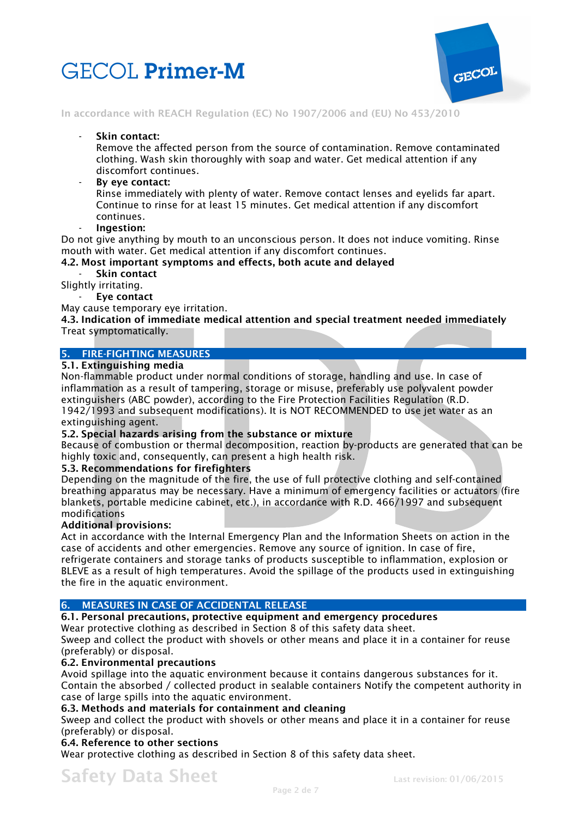



Skin contact:

Remove the affected person from the source of contamination. Remove contaminated clothing. Wash skin thoroughly with soap and water. Get medical attention if any discomfort continues.

- **By eye contact:** 

Rinse immediately with plenty of water. Remove contact lenses and eyelids far apart. Continue to rinse for at least 15 minutes. Get medical attention if any discomfort continues.

- **Ingestion:** 

Do not give anything by mouth to an unconscious person. It does not induce vomiting. Rinse mouth with water. Get medical attention if any discomfort continues.

# **4.2. Most important symptoms and effects, both acute and delayed**

- **Skin contact** 

Slightly irritating.

- **Eye contact** 

May cause temporary eye irritation.

**4.3. Indication of immediate medical attention and special treatment needed immediately**  Treat symptomatically.

# **5. FIRE-FIGHTING MEASURES**

#### **5.1. Extinguishing media**

Non-flammable product under normal conditions of storage, handling and use. In case of inflammation as a result of tampering, storage or misuse, preferably use polyvalent powder extinguishers (ABC powder), according to the Fire Protection Facilities Regulation (R.D. 1942/1993 and subsequent modifications). It is NOT RECOMMENDED to use jet water as an extinguishing agent.

# **5.2. Special hazards arising from the substance or mixture**

Because of combustion or thermal decomposition, reaction by-products are generated that can be highly toxic and, consequently, can present a high health risk.

# **5.3. Recommendations for firefighters**

Depending on the magnitude of the fire, the use of full protective clothing and self-contained breathing apparatus may be necessary. Have a minimum of emergency facilities or actuators (fire blankets, portable medicine cabinet, etc.), in accordance with R.D. 466/1997 and subsequent modifications

#### **Additional provisions:**

Act in accordance with the Internal Emergency Plan and the Information Sheets on action in the case of accidents and other emergencies. Remove any source of ignition. In case of fire, refrigerate containers and storage tanks of products susceptible to inflammation, explosion or BLEVE as a result of high temperatures. Avoid the spillage of the products used in extinguishing the fire in the aquatic environment.

# **6. MEASURES IN CASE OF ACCIDENTAL RELEASE**

**6.1. Personal precautions, protective equipment and emergency procedures** 

Wear protective clothing as described in Section 8 of this safety data sheet.

Sweep and collect the product with shovels or other means and place it in a container for reuse (preferably) or disposal.

#### **6.2. Environmental precautions**

Avoid spillage into the aquatic environment because it contains dangerous substances for it. Contain the absorbed / collected product in sealable containers Notify the competent authority in case of large spills into the aquatic environment.

# **6.3. Methods and materials for containment and cleaning**

Sweep and collect the product with shovels or other means and place it in a container for reuse (preferably) or disposal.

# **6.4. Reference to other sections**

Wear protective clothing as described in Section 8 of this safety data sheet.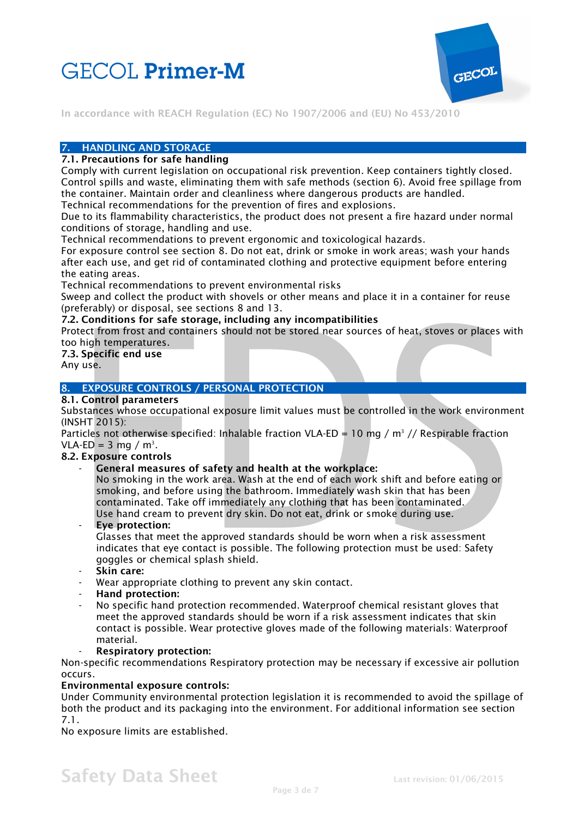



# **7. HANDLING AND STORAGE**

### **7.1. Precautions for safe handling**

Comply with current legislation on occupational risk prevention. Keep containers tightly closed. Control spills and waste, eliminating them with safe methods (section 6). Avoid free spillage from the container. Maintain order and cleanliness where dangerous products are handled.

Technical recommendations for the prevention of fires and explosions.

Due to its flammability characteristics, the product does not present a fire hazard under normal conditions of storage, handling and use.

Technical recommendations to prevent ergonomic and toxicological hazards.

For exposure control see section 8. Do not eat, drink or smoke in work areas; wash your hands after each use, and get rid of contaminated clothing and protective equipment before entering the eating areas.

Technical recommendations to prevent environmental risks

Sweep and collect the product with shovels or other means and place it in a container for reuse (preferably) or disposal, see sections 8 and 13.

#### **7.2. Conditions for safe storage, including any incompatibilities**

Protect from frost and containers should not be stored near sources of heat, stoves or places with too high temperatures.

#### **7.3. Specific end use**

Any use.

# **8. EXPOSURE CONTROLS / PERSONAL PROTECTION**

# **8.1. Control parameters**

Substances whose occupational exposure limit values must be controlled in the work environment (INSHT 2015):

Particles not otherwise specified: Inhalable fraction VLA-ED = 10 mg /  $m^3$  // Respirable fraction VLA-ED = 3 mg /  $m^3$ .

#### **8.2. Exposure controls**

General measures of safety and health at the workplace:

No smoking in the work area. Wash at the end of each work shift and before eating or smoking, and before using the bathroom. Immediately wash skin that has been contaminated. Take off immediately any clothing that has been contaminated. Use hand cream to prevent dry skin. Do not eat, drink or smoke during use.

- **Eye protection:** 

Glasses that meet the approved standards should be worn when a risk assessment indicates that eye contact is possible. The following protection must be used: Safety goggles or chemical splash shield.

- **Skin care:**
- Wear appropriate clothing to prevent any skin contact.
- **Hand protection:**
- No specific hand protection recommended. Waterproof chemical resistant gloves that meet the approved standards should be worn if a risk assessment indicates that skin contact is possible. Wear protective gloves made of the following materials: Waterproof material.

#### - **Respiratory protection:**

Non-specific recommendations Respiratory protection may be necessary if excessive air pollution occurs.

# **Environmental exposure controls:**

Under Community environmental protection legislation it is recommended to avoid the spillage of both the product and its packaging into the environment. For additional information see section 7.1.

No exposure limits are established.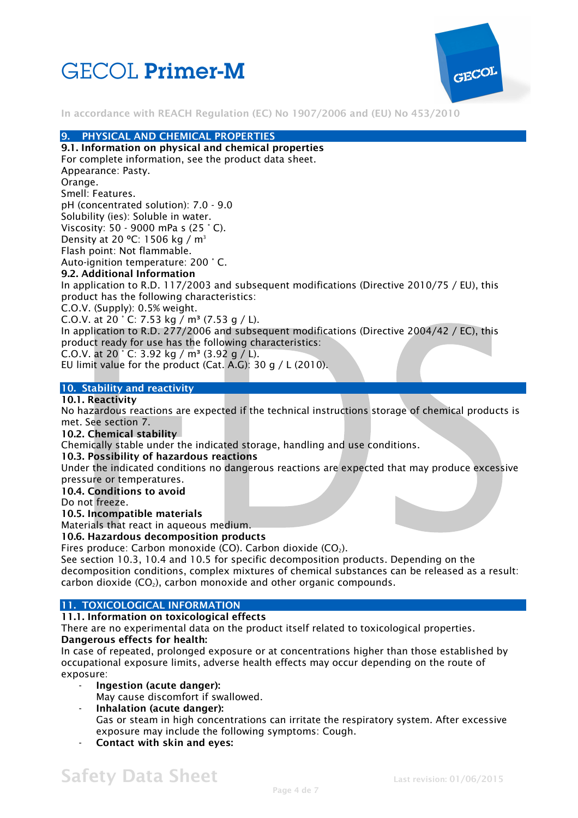



## **9. PHYSICAL AND CHEMICAL PROPERTIES**

**9.1. Information on physical and chemical properties**  For complete information, see the product data sheet. Appearance: Pasty. Orange. Smell: Features. pH (concentrated solution): 7.0 - 9.0 Solubility (ies): Soluble in water. Viscosity: 50 - 9000 mPa s (25 ° C). Density at 20 °C: 1506 kg / m<sup>3</sup> Flash point: Not flammable. Auto-ignition temperature: 200 ° C. **9.2. Additional Information**  In application to R.D. 117/2003 and subsequent modifications (Directive 2010/75 / EU), this product has the following characteristics: C.O.V. (Supply): 0.5% weight. C.O.V. at 20  $\degree$  C: 7.53 kg / m<sup>3</sup> (7.53 g / L). In application to R.D. 277/2006 and subsequent modifications (Directive 2004/42 / EC), this product ready for use has the following characteristics: C.O.V. at 20  $^{\circ}$  C: 3.92 kg / m<sup>3</sup> (3.92 g / L). EU limit value for the product (Cat. A.G): 30 g / L (2010).

#### **10. Stability and reactivity**

# **10.1. Reactivity**

No hazardous reactions are expected if the technical instructions storage of chemical products is met. See section 7.

#### **10.2. Chemical stability**

Chemically stable under the indicated storage, handling and use conditions.

#### **10.3. Possibility of hazardous reactions**

Under the indicated conditions no dangerous reactions are expected that may produce excessive pressure or temperatures.

**10.4. Conditions to avoid** 

Do not freeze.

#### **10.5. Incompatible materials**

# Materials that react in aqueous medium.

### **10.6. Hazardous decomposition products**

Fires produce: Carbon monoxide (CO). Carbon dioxide (CO<sub>2</sub>).

See section 10.3, 10.4 and 10.5 for specific decomposition products. Depending on the decomposition conditions, complex mixtures of chemical substances can be released as a result: carbon dioxide  $(CO<sub>2</sub>)$ , carbon monoxide and other organic compounds.

# **11. TOXICOLOGICAL INFORMATION**

# **11.1. Information on toxicological effects**

There are no experimental data on the product itself related to toxicological properties. **Dangerous effects for health:** 

In case of repeated, prolonged exposure or at concentrations higher than those established by occupational exposure limits, adverse health effects may occur depending on the route of exposure:

- **Ingestion (acute danger):**
- May cause discomfort if swallowed.
- **Inhalation (acute danger):**  Gas or steam in high concentrations can irritate the respiratory system. After excessive exposure may include the following symptoms: Cough.
- **Contact with skin and eyes:**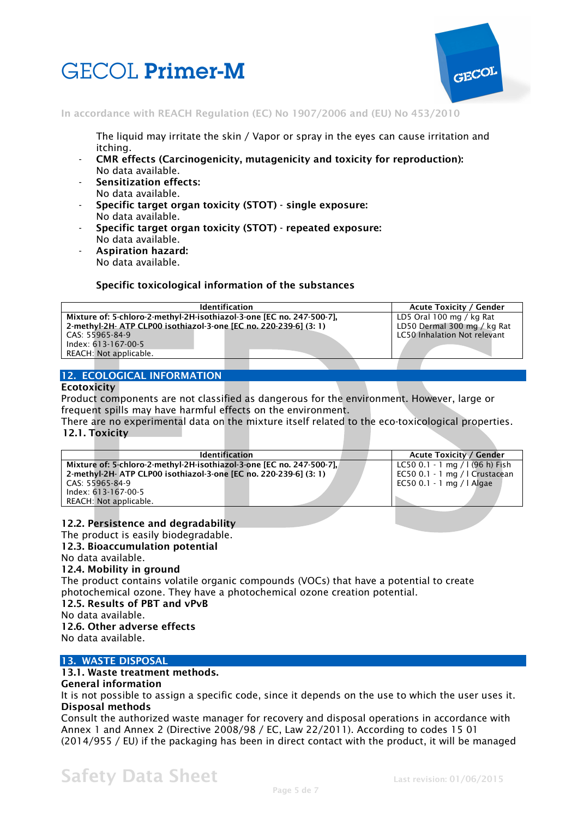



The liquid may irritate the skin / Vapor or spray in the eyes can cause irritation and itching.

- **CMR effects (Carcinogenicity, mutagenicity and toxicity for reproduction):**  No data available.
- **Sensitization effects:**  No data available.
- **Specific target organ toxicity (STOT) single exposure:**  No data available.
- **Specific target organ toxicity (STOT) repeated exposure:**  No data available.
- **Aspiration hazard:**  No data available.

# **Specific toxicological information of the substances**

| <b>Identification</b>                                                 | <b>Acute Toxicity / Gender</b> |                                     |  |
|-----------------------------------------------------------------------|--------------------------------|-------------------------------------|--|
| Mixture of: 5-chloro-2-methyl-2H-isothiazol-3-one [EC no. 247-500-7]. | LD5 Oral 100 mg / kg Rat       |                                     |  |
| 2-methyl-2H- ATP CLP00 isothiazol-3-one [EC no. 220-239-6] (3: 1)     | LD50 Dermal 300 mg / kg Rat    |                                     |  |
| CAS: 55965-84-9                                                       |                                | <b>LC50 Inhalation Not relevant</b> |  |
| Index: 613-167-00-5                                                   |                                |                                     |  |
| REACH: Not applicable.                                                |                                |                                     |  |

# **12. ECOLOGICAL INFORMATION**

#### **Ecotoxicity**

Product components are not classified as dangerous for the environment. However, large or frequent spills may have harmful effects on the environment.

There are no experimental data on the mixture itself related to the eco-toxicological properties. **12.1. Toxicity** 

|                                                                   |  | <b>Identification</b>                                                 |  | <b>Acute Toxicity / Gender</b>  |
|-------------------------------------------------------------------|--|-----------------------------------------------------------------------|--|---------------------------------|
|                                                                   |  | Mixture of: 5-chloro-2-methyl-2H-isothiazol-3-one [EC no. 247-500-7], |  | LC50 0.1 - 1 mg / $(96 h)$ Fish |
| 2-methyl-2H- ATP CLP00 isothiazol-3-one [EC no. 220-239-6] (3: 1) |  |                                                                       |  | EC50 0.1 - 1 mg / I Crustacean  |
| CAS: 55965-84-9                                                   |  |                                                                       |  | EC50 0.1 - 1 mg /   Algae       |
| Index: 613-167-00-5                                               |  |                                                                       |  |                                 |
| REACH: Not applicable.                                            |  |                                                                       |  |                                 |

# **12.2. Persistence and degradability**

The product is easily biodegradable.

**12.3. Bioaccumulation potential** 

#### No data available.

#### **12.4. Mobility in ground**

The product contains volatile organic compounds (VOCs) that have a potential to create photochemical ozone. They have a photochemical ozone creation potential.

#### **12.5. Results of PBT and vPvB**

No data available.

# **12.6. Other adverse effects**

No data available.

# **13. WASTE DISPOSAL**

#### **13.1. Waste treatment methods.**

#### **General information**

It is not possible to assign a specific code, since it depends on the use to which the user uses it. **Disposal methods** 

Consult the authorized waste manager for recovery and disposal operations in accordance with Annex 1 and Annex 2 (Directive 2008/98 / EC, Law 22/2011). According to codes 15 01 (2014/955 / EU) if the packaging has been in direct contact with the product, it will be managed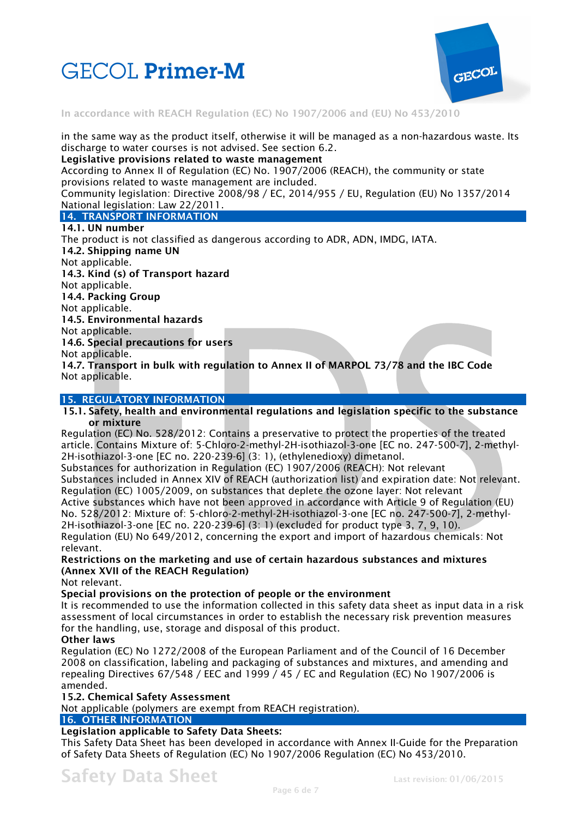



in the same way as the product itself, otherwise it will be managed as a non-hazardous waste. Its discharge to water courses is not advised. See section 6.2.

**Legislative provisions related to waste management** 

According to Annex II of Regulation (EC) No. 1907/2006 (REACH), the community or state provisions related to waste management are included.

Community legislation: Directive 2008/98 / EC, 2014/955 / EU, Regulation (EU) No 1357/2014 National legislation: Law 22/2011.

#### **14. TRANSPORT INFORMATION**

#### **14.1. UN number**

The product is not classified as dangerous according to ADR, ADN, IMDG, IATA. **14.2. Shipping name UN**  Not applicable. **14.3. Kind (s) of Transport hazard**  Not applicable. **14.4. Packing Group**  Not applicable. **14.5. Environmental hazards**  Not applicable. **14.6. Special precautions for users**  Not applicable. **14.7. Transport in bulk with regulation to Annex II of MARPOL 73/78 and the IBC Code**  Not applicable.

#### **15. REGULATORY INFORMATION**

#### **15.1. Safety, health and environmental regulations and legislation specific to the substance or mixture**

Regulation (EC) No. 528/2012: Contains a preservative to protect the properties of the treated article. Contains Mixture of: 5-Chloro-2-methyl-2H-isothiazol-3-one [EC no. 247-500-7], 2-methyl-2H-isothiazol-3-one [EC no. 220-239-6] (3: 1), (ethylenedioxy) dimetanol.

Substances for authorization in Regulation (EC) 1907/2006 (REACH): Not relevant Substances included in Annex XIV of REACH (authorization list) and expiration date: Not relevant. Regulation (EC) 1005/2009, on substances that deplete the ozone layer: Not relevant

Active substances which have not been approved in accordance with Article 9 of Regulation (EU) No. 528/2012: Mixture of: 5-chloro-2-methyl-2H-isothiazol-3-one [EC no. 247-500-7], 2-methyl-2H-isothiazol-3-one [EC no. 220-239-6] (3: 1) (excluded for product type 3, 7, 9, 10). Regulation (EU) No 649/2012, concerning the export and import of hazardous chemicals: Not relevant.

**Restrictions on the marketing and use of certain hazardous substances and mixtures (Annex XVII of the REACH Regulation)** 

Not relevant.

**Special provisions on the protection of people or the environment** 

It is recommended to use the information collected in this safety data sheet as input data in a risk assessment of local circumstances in order to establish the necessary risk prevention measures for the handling, use, storage and disposal of this product.

#### **Other laws**

Regulation (EC) No 1272/2008 of the European Parliament and of the Council of 16 December 2008 on classification, labeling and packaging of substances and mixtures, and amending and repealing Directives 67/548 / EEC and 1999 / 45 / EC and Regulation (EC) No 1907/2006 is amended.

#### **15.2. Chemical Safety Assessment**

Not applicable (polymers are exempt from REACH registration).

# **16. OTHER INFORMATION**

# **Legislation applicable to Safety Data Sheets:**

This Safety Data Sheet has been developed in accordance with Annex II-Guide for the Preparation of Safety Data Sheets of Regulation (EC) No 1907/2006 Regulation (EC) No 453/2010.